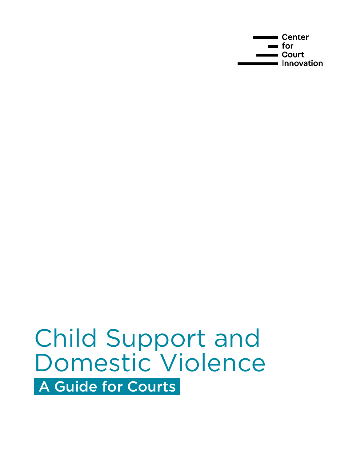**Center** for Court **Innovation** 

## Child Support and Domestic Violence A Guide for Courts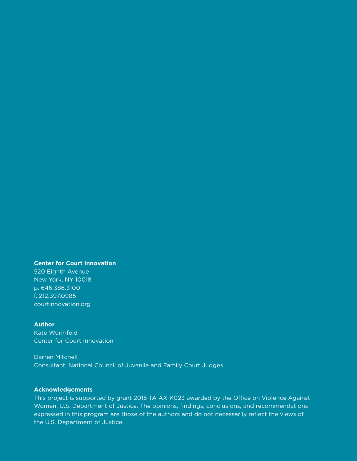#### **Center for Court Innovation**

520 Eighth Avenue New York, NY 10018 p. 646.386.3100 f. 212.397.0985 [courtinnovation.org](https://www.courtinnovation.org) 

#### **Author**

Kate Wurmfeld Center for Court Innovation

#### Darren Mitchell

Consultant, National Council of Juvenile and Family Court Judges

#### **Acknowledgements**

This project is supported by grant 2015-TA-AX-K023 awarded by the Office on Violence Against Women, U.S. Department of Justice. The opinions, findings, conclusions, and recommendations expressed in this program are those of the authors and do not necessarily reflect the views of the U.S. Department of Justice.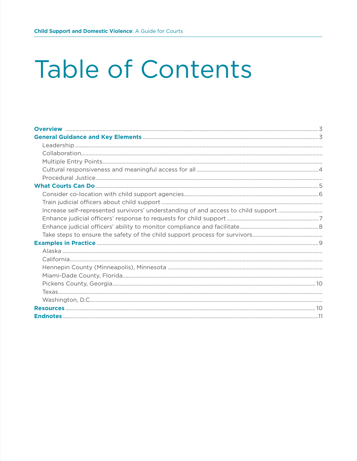# **Table of Contents**

| Increase self-represented survivors' understanding of and access to child support |  |
|-----------------------------------------------------------------------------------|--|
|                                                                                   |  |
|                                                                                   |  |
|                                                                                   |  |
|                                                                                   |  |
|                                                                                   |  |
|                                                                                   |  |
|                                                                                   |  |
|                                                                                   |  |
|                                                                                   |  |
|                                                                                   |  |
|                                                                                   |  |
|                                                                                   |  |
|                                                                                   |  |
|                                                                                   |  |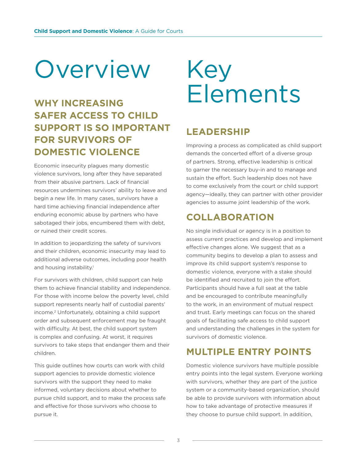# Overview Key

## **WHY INCREASING SAFER ACCESS TO CHILD SUPPORT IS SO IMPORTANT FOR SURVIVORS OF DOMESTIC VIOLENCE**

Economic insecurity plagues many domestic violence survivors, long after they have separated from their abusive partners. Lack of financial resources undermines survivors' ability to leave and begin a new life. In many cases, survivors have a hard time achieving financial independence after enduring economic abuse by partners who have sabotaged their jobs, encumbered them with debt, or ruined their credit scores.

In addition to jeopardizing the safety of survivors and their children, economic insecurity may lead to additional adverse outcomes, including poor health and housing instability.<sup>1</sup>

For survivors with children, child support can help them to achieve financial stability and independence. For those with income below the poverty level, child support represents nearly half of custodial parents' income.2 Unfortunately, obtaining a child support order and subsequent enforcement may be fraught with difficulty. At best, the child support system is complex and confusing. At worst, it requires survivors to take steps that endanger them and their children.

This guide outlines how courts can work with child support agencies to provide domestic violence survivors with the support they need to make informed, voluntary decisions about whether to pursue child support, and to make the process safe and effective for those survivors who choose to pursue it.

# Elements

## **LEADERSHIP**

Improving a process as complicated as child support demands the concerted effort of a diverse group of partners. Strong, effective leadership is critical to garner the necessary buy-in and to manage and sustain the effort. Such leadership does not have to come exclusively from the court or child support agency—ideally, they can partner with other provider agencies to assume joint leadership of the work.

#### **COLLABORATION**

No single individual or agency is in a position to assess current practices and develop and implement effective changes alone. We suggest that as a community begins to develop a plan to assess and improve its child support system's response to domestic violence, everyone with a stake should be identified and recruited to join the effort. Participants should have a full seat at the table and be encouraged to contribute meaningfully to the work, in an environment of mutual respect and trust. Early meetings can focus on the shared goals of facilitating safe access to child support and understanding the challenges in the system for survivors of domestic violence.

#### **MULTIPLE ENTRY POINTS**

Domestic violence survivors have multiple possible entry points into the legal system. Everyone working with survivors, whether they are part of the justice system or a community-based organization, should be able to provide survivors with information about how to take advantage of protective measures if they choose to pursue child support. In addition,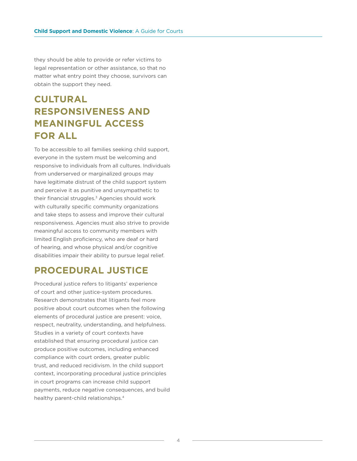they should be able to provide or refer victims to legal representation or other assistance, so that no matter what entry point they choose, survivors can obtain the support they need.

#### **CULTURAL RESPONSIVENESS AND MEANINGFUL ACCESS FOR ALL**

To be accessible to all families seeking child support, everyone in the system must be welcoming and responsive to individuals from all cultures. Individuals from underserved or marginalized groups may have legitimate distrust of the child support system and perceive it as punitive and unsympathetic to their financial struggles.<sup>3</sup> Agencies should work with culturally specific community organizations and take steps to assess and improve their cultural responsiveness. Agencies must also strive to provide meaningful access to community members with limited English proficiency, who are deaf or hard of hearing, and whose physical and/or cognitive disabilities impair their ability to pursue legal relief.

#### **PROCEDURAL JUSTICE**

Procedural justice refers to litigants' experience of court and other justice-system procedures. Research demonstrates that litigants feel more positive about court outcomes when the following elements of procedural justice are present: voice, respect, neutrality, understanding, and helpfulness. Studies in a variety of court contexts have established that ensuring procedural justice can produce positive outcomes, including enhanced compliance with court orders, greater public trust, and reduced recidivism. In the child support context, incorporating procedural justice principles in court programs can increase child support payments, reduce negative consequences, and build healthy parent-child relationships.4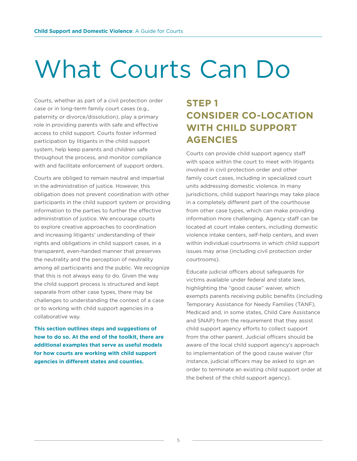# What Courts Can Do

Courts, whether as part of a civil protection order case or in long-term family court cases (e.g., paternity or divorce/dissolution), play a primary role in providing parents with safe and effective access to child support. Courts foster informed participation by litigants in the child support system, help keep parents and children safe throughout the process, and monitor compliance with and facilitate enforcement of support orders.

Courts are obliged to remain neutral and impartial in the administration of justice. However, this obligation does not prevent coordination with other participants in the child support system or providing information to the parties to further the effective administration of justice. We encourage courts to explore creative approaches to coordination and increasing litigants' understanding of their rights and obligations in child support cases, in a transparent, even-handed manner that preserves the neutrality and the perception of neutrality among all participants and the public. We recognize that this is not always easy to do. Given the way the child support process is structured and kept separate from other case types, there may be challenges to understanding the context of a case or to working with child support agencies in a collaborative way.

**This section outlines steps and suggestions of how to do so. At the end of the toolkit, there are additional examples that serve as useful models for how courts are working with child support agencies in different states and counties.** 

## **STEP 1 CONSIDER CO-LOCATION WITH CHILD SUPPORT AGENCIES**

Courts can provide child support agency staff with space within the court to meet with litigants involved in civil protection order and other family court cases, including in specialized court units addressing domestic violence. In many jurisdictions, child support hearings may take place in a completely different part of the courthouse from other case types, which can make providing information more challenging. Agency staff can be located at court intake centers, including domestic violence intake centers, self-help centers, and even within individual courtrooms in which child support issues may arise (including civil protection order courtrooms).

Educate judicial officers about safeguards for victims available under federal and state laws, highlighting the "good cause" waiver, which exempts parents receiving public benefits (including Temporary Assistance for Needy Families (TANF), Medicaid and, in some states, Child Care Assistance and SNAP) from the requirement that they assist child support agency efforts to collect support from the other parent. Judicial officers should be aware of the local child support agency's approach to implementation of the good cause waiver (for instance, judicial officers may be asked to sign an order to terminate an existing child support order at the behest of the child support agency).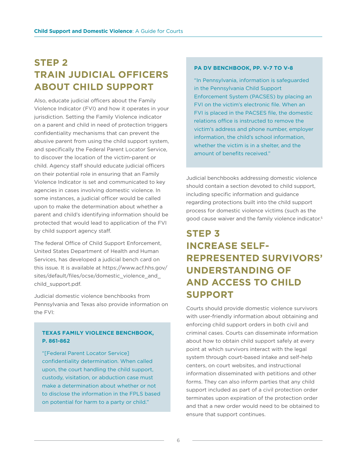#### **STEP 2 TRAIN JUDICIAL OFFICERS ABOUT CHILD SUPPORT**

Also, educate judicial officers about the Family Violence Indicator (FVI) and how it operates in your jurisdiction. Setting the Family Violence indicator on a parent and child in need of protection triggers confidentiality mechanisms that can prevent the abusive parent from using the child support system, and specifically the Federal Parent Locator Service, to discover the location of the victim-parent or child. Agency staff should educate judicial officers on their potential role in ensuring that an Family Violence Indicator is set and communicated to key agencies in cases involving domestic violence. In some instances, a judicial officer would be called upon to make the determination about whether a parent and child's identifying information should be protected that would lead to application of the FVI by child support agency staff.

The federal Office of Child Support Enforcement, United States Department of Health and Human Services, has developed a judicial bench card on this issue. It is available at [https://www.acf.hhs.gov/](https://www.acf.hhs.gov/sites/default/files/ocse/domestic_violence_and_child_support.pdf) [sites/default/files/ocse/domestic\\_violence\\_and\\_](https://www.acf.hhs.gov/sites/default/files/ocse/domestic_violence_and_child_support.pdf) [child\\_support.pdf](https://www.acf.hhs.gov/sites/default/files/ocse/domestic_violence_and_child_support.pdf).

Judicial domestic violence benchbooks from Pennsylvania and Texas also provide information on the FVI:

#### **TEXAS FAMILY VIOLENCE BENCHBOOK, P. 861-862**

"[Federal Parent Locator Service] confidentiality determination. When called upon, the court handling the child support, custody, visitation, or abduction case must make a determination about whether or not to disclose the information in the FPLS based on potential for harm to a party or child."

#### **PA DV BENCHBOOK, PP. V-7 TO V-8**

"In Pennsylvania, information is safeguarded in the Pennsylvania Child Support Enforcement System (PACSES) by placing an FVI on the victim's electronic file. When an FVI is placed in the PACSES file, the domestic relations office is instructed to remove the victim's address and phone number, employer information, the child's school information, whether the victim is in a shelter, and the amount of benefits received."

Judicial benchbooks addressing domestic violence should contain a section devoted to child support, including specific information and guidance regarding protections built into the child support process for domestic violence victims (such as the good cause waiver and the family violence indicator.5

## **STEP 3 INCREASE SELF-REPRESENTED SURVIVORS' UNDERSTANDING OF AND ACCESS TO CHILD SUPPORT**

Courts should provide domestic violence survivors with user-friendly information about obtaining and enforcing child support orders in both civil and criminal cases. Courts can disseminate information about how to obtain child support safely at every point at which survivors interact with the legal system through court-based intake and self-help centers, on court websites, and instructional information disseminated with petitions and other forms. They can also inform parties that any child support included as part of a civil protection order terminates upon expiration of the protection order and that a new order would need to be obtained to ensure that support continues.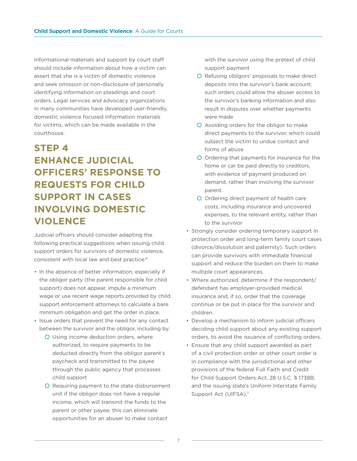Informational materials and support by court staff should include information about how a victim can assert that she is a victim of domestic violence and seek omission or non-disclosure of personally identifying information on pleadings and court orders. Legal services and advocacy organizations in many communities have developed user-friendly, domestic violence focused information materials for victims, which can be made available in the courthouse.

#### **STEP 4 ENHANCE JUDICIAL OFFICERS' RESPONSE TO REQUESTS FOR CHILD SUPPORT IN CASES INVOLVING DOMESTIC VIOLENCE**

Judicial officers should consider adapting the following practical suggestions when issuing child support orders for survivors of domestic violence, consistent with local law and best practice:6

- In the absence of better information, especially if the obligor party (the parent responsible for child support) does not appear, impute a minimum wage or use recent wage reports provided by child support enforcement attorneys to calculate a bare minimum obligation and get the order in place.
- Issue orders that prevent the need for any contact between the survivor and the obligor, including by:
	- Using income deduction orders, where authorized, to require payments to be deducted directly from the obligor parent's paycheck and transmitted to the payee through the public agency that processes child support
	- Requiring payment to the state disbursement unit if the obligor does not have a regular income, which will transmit the funds to the parent or other payee; this can eliminate opportunities for an abuser to make contact

with the survivor using the pretext of child support payment

- Refusing obligors' proposals to make direct deposits into the survivor's bank account; such orders could allow the abuser access to the survivor's banking information and also result in disputes over whether payments were made
- Avoiding orders for the obligor to make direct payments to the survivor, which could subject the victim to undue contact and forms of abuse
- Ordering that payments for insurance for the home or car be paid directly to creditors, with evidence of payment produced on demand, rather than involving the survivor parent.
- Ordering direct payment of health care costs, including insurance and uncovered expenses, to the relevant entity, rather than to the survivor
- Strongly consider ordering temporary support in protection order and long-term family court cases (divorce/dissolution and paternity). Such orders can provide survivors with immediate financial support and reduce the burden on them to make multiple court appearances.
- Where authorized, determine if the respondent/ defendant has employer-provided medical insurance and, if so, order that the coverage continue or be put in place for the survivor and children.
- Develop a mechanism to inform judicial officers deciding child support about any existing support orders, to avoid the issuance of conflicting orders.
- Ensure that any child support awarded as part of a civil protection order or other court order is in compliance with the jurisdictional and other provisions of the federal Full Faith and Credit for Child Support Orders Act, 28 U.S.C. § 1738B, and the issuing state's Uniform Interstate Family Support Act (UIFSA).<sup>7</sup>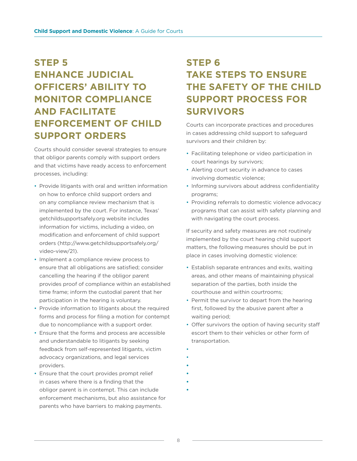## **STEP 5 ENHANCE JUDICIAL OFFICERS' ABILITY TO MONITOR COMPLIANCE AND FACILITATE ENFORCEMENT OF CHILD SUPPORT ORDERS**

Courts should consider several strategies to ensure that obligor parents comply with support orders and that victims have ready access to enforcement processes, including:

- Provide litigants with oral and written information on how to enforce child support orders and on any compliance review mechanism that is implemented by the court. For instance, Texas' getchildsupportsafely.org website includes information for victims, including a video, on modification and enforcement of child support orders [\(http://www.getchildsupportsafely.org/](http://www.getchildsupportsafely.org/video-view/21) [video-view/21](http://www.getchildsupportsafely.org/video-view/21)).
- Implement a compliance review process to ensure that all obligations are satisfied; consider cancelling the hearing if the obligor parent provides proof of compliance within an established time frame; inform the custodial parent that her participation in the hearing is voluntary.
- Provide information to litigants about the required forms and process for filing a motion for contempt due to noncompliance with a support order.
- Ensure that the forms and process are accessible and understandable to litigants by seeking feedback from self-represented litigants, victim advocacy organizations, and legal services providers.
- Ensure that the court provides prompt relief in cases where there is a finding that the obligor parent is in contempt. This can include enforcement mechanisms, but also assistance for parents who have barriers to making payments.

#### **STEP 6 TAKE STEPS TO ENSURE THE SAFETY OF THE CHILD SUPPORT PROCESS FOR SURVIVORS**

Courts can incorporate practices and procedures in cases addressing child support to safeguard survivors and their children by:

- Facilitating telephone or video participation in court hearings by survivors;
- Alerting court security in advance to cases involving domestic violence;
- Informing survivors about address confidentiality programs;
- Providing referrals to domestic violence advocacy programs that can assist with safety planning and with navigating the court process.

If security and safety measures are not routinely implemented by the court hearing child support matters, the following measures should be put in place in cases involving domestic violence:

- Establish separate entrances and exits, waiting areas, and other means of maintaining physical separation of the parties, both inside the courthouse and within courtrooms;
- Permit the survivor to depart from the hearing first, followed by the abusive parent after a waiting period;
- Offer survivors the option of having security staff escort them to their vehicles or other form of transportation.
- •
- •

**•**

- **•**
- 
- 
- **• •**
	-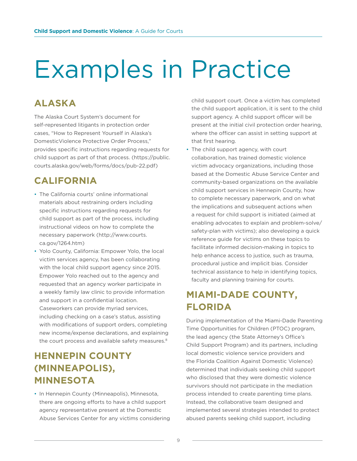# Examples in Practice

#### **ALASKA**

The Alaska Court System's document for self-represented litigants in protection order cases, "How to Represent Yourself in Alaska's DomesticViolence Protective Order Process," provides specific instructions regarding requests for child support as part of that process. ([https://public.](https://public.courts.alaska.gov/web/forms/docs/pub-22.pdf) [courts.alaska.gov/web/forms/docs/pub-22.pdf\)](https://public.courts.alaska.gov/web/forms/docs/pub-22.pdf)

#### **CALIFORNIA**

- The California courts' online informational materials about restraining orders including specific instructions regarding requests for child support as part of the process, including instructional videos on how to complete the necessary paperwork [\(http://www.courts.]((http://www.courts.ca.gov/1264.htm) [ca.gov/1264.htm]((http://www.courts.ca.gov/1264.htm))
- Yolo County, California: Empower Yolo, the local victim services agency, has been collaborating with the local child support agency since 2015. Empower Yolo reached out to the agency and requested that an agency worker participate in a weekly family law clinic to provide information and support in a confidential location. Caseworkers can provide myriad services, including checking on a case's status, assisting with modifications of support orders, completing new income/expense declarations, and explaining the court process and available safety measures.<sup>8</sup>

#### **HENNEPIN COUNTY (MINNEAPOLIS), MINNESOTA**

• In Hennepin County (Minneapolis), Minnesota, there are ongoing efforts to have a child support agency representative present at the Domestic Abuse Services Center for any victims considering child support court. Once a victim has completed the child support application, it is sent to the child support agency. A child support officer will be present at the initial civil protection order hearing, where the officer can assist in setting support at that first hearing.

• The child support agency, with court collaboration, has trained domestic violence victim advocacy organizations, including those based at the Domestic Abuse Service Center and community-based organizations on the available child support services in Hennepin County, how to complete necessary paperwork, and on what the implications and subsequent actions when a request for child support is initiated (aimed at enabling advocates to explain and problem-solve/ safety-plan with victims); also developing a quick reference guide for victims on these topics to facilitate informed decision-making in topics to help enhance access to justice, such as trauma, procedural justice and implicit bias. Consider technical assistance to help in identifying topics, faculty and planning training for courts.

#### **MIAMI-DADE COUNTY, FLORIDA**

During implementation of the Miami-Dade Parenting Time Opportunities for Children (PTOC) program, the lead agency (the State Attorney's Office's Child Support Program) and its partners, including local domestic violence service providers and the Florida Coalition Against Domestic Violence) determined that individuals seeking child support who disclosed that they were domestic violence survivors should not participate in the mediation process intended to create parenting time plans. Instead, the collaborative team designed and implemented several strategies intended to protect abused parents seeking child support, including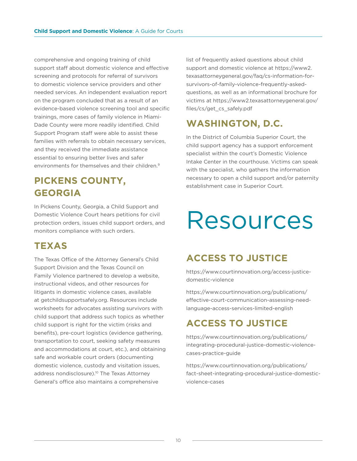comprehensive and ongoing training of child support staff about domestic violence and effective screening and protocols for referral of survivors to domestic violence service providers and other needed services. An independent evaluation report on the program concluded that as a result of an evidence-based violence screening tool and specific trainings, more cases of family violence in Miami-Dade County were more readily identified. Child Support Program staff were able to assist these families with referrals to obtain necessary services, and they received the immediate assistance essential to ensuring better lives and safer environments for themselves and their children.<sup>9</sup>

## **PICKENS COUNTY, GEORGIA**

In Pickens County, Georgia, a Child Support and Domestic Violence Court hears petitions for civil protection orders, issues child support orders, and monitors compliance with such orders.

#### **TEXAS**

The Texas Office of the Attorney General's Child Support Division and the Texas Council on Family Violence partnered to develop a website, instructional videos, and other resources for litigants in domestic violence cases, available at [getchildsupportsafely.org.](http://getchildsupportsafely.org) Resources include worksheets for advocates assisting survivors with child support that address such topics as whether child support is right for the victim (risks and benefits), pre-court logistics (evidence gathering, transportation to court, seeking safety measures and accommodations at court, etc.), and obtaining safe and workable court orders (documenting domestic violence, custody and visitation issues, address nondisclosure).<sup>10</sup> The Texas Attorney General's office also maintains a comprehensive

list of frequently asked questions about child support and domestic violence at [https://www2.](https://www2.texasattorneygeneral.gov/faq/cs-information-for-survivors-of-family-violence-frequently) [texasattorneygeneral.gov/faq/cs-information-for](https://www2.texasattorneygeneral.gov/faq/cs-information-for-survivors-of-family-violence-frequently)[survivors-of-family-violence-frequently-asked](https://www2.texasattorneygeneral.gov/faq/cs-information-for-survivors-of-family-violence-frequently)[questions,](https://www2.texasattorneygeneral.gov/faq/cs-information-for-survivors-of-family-violence-frequently) as well as an informational brochure for victims at [https://www2.texasattorneygeneral.gov/](https://www2.texasattorneygeneral.gov/files/cs/get_cs_safely.pdf) [files/cs/get\\_cs\\_safely.pdf](https://www2.texasattorneygeneral.gov/files/cs/get_cs_safely.pdf)

#### **WASHINGTON, D.C.**

In the District of Columbia Superior Court, the child support agency has a support enforcement specialist within the court's Domestic Violence Intake Center in the courthouse. Victims can speak with the specialist, who gathers the information necessary to open a child support and/or paternity establishment case in Superior Court.

## Resources

#### **ACCESS TO JUSTICE**

[https://www.courtinnovation.org/access-justice](https://www.courtinnovation.org/access-justice-domestic-violence)[domestic-violence](https://www.courtinnovation.org/access-justice-domestic-violence)

[https://www.courtinnovation.org/publications/](https://www.courtinnovation.org/publications/effective-court-communication-assessing-need-language-a) [effective-court-communication-assessing-need](https://www.courtinnovation.org/publications/effective-court-communication-assessing-need-language-a)[language-access-services-limited-english](https://www.courtinnovation.org/publications/effective-court-communication-assessing-need-language-a)

## **ACCESS TO JUSTICE**

[https://www.courtinnovation.org/publications/](https://www.courtinnovation.org/publications/integrating-procedural-justice-domestic-violence-cases-) [integrating-procedural-justice-domestic-violence](https://www.courtinnovation.org/publications/integrating-procedural-justice-domestic-violence-cases-)[cases-practice-guide](https://www.courtinnovation.org/publications/integrating-procedural-justice-domestic-violence-cases-)

[https://www.courtinnovation.org/publications/](https://www.courtinnovation.org/publications/fact-sheet-integrating-procedural-justice-domestic-viol) [fact-sheet-integrating-procedural-justice-domestic](https://www.courtinnovation.org/publications/fact-sheet-integrating-procedural-justice-domestic-viol)[violence-cases](https://www.courtinnovation.org/publications/fact-sheet-integrating-procedural-justice-domestic-viol)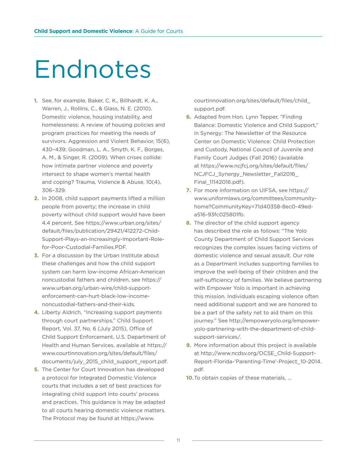# Endnotes

- **1.** See, for example, Baker, C. K., Billhardt, K. A., Warren, J., Rollins, C., & Glass, N. E. (2010). Domestic violence, housing instability, and homelessness: A review of housing policies and program practices for meeting the needs of survivors. Aggression and Violent Behavior, 15(6), 430–439; Goodman, L. A., Smyth, K. F., Borges, A. M., & Singer, R. (2009). When crises collide: how intimate partner violence and poverty intersect to shape women's mental health and coping? Trauma, Violence & Abuse, 10(4), 306–329.
- **2.** In 2008, child support payments lifted a million people from poverty; the increase in child poverty without child support would have been 4.4 percent. See [https://www.urban.org/sites/](https://www.urban.org/sites/default/files/publication/29421/412272-Child-Support-Plays-an-Increasing) [default/files/publication/29421/412272-Child-](https://www.urban.org/sites/default/files/publication/29421/412272-Child-Support-Plays-an-Increasing)[Support-Plays-an-Increasingly-Important-Role](https://www.urban.org/sites/default/files/publication/29421/412272-Child-Support-Plays-an-Increasing)[for-Poor-Custodial-Families.PDF](https://www.urban.org/sites/default/files/publication/29421/412272-Child-Support-Plays-an-Increasing).
- **3.** For a discussion by the Urban Institute about these challenges and how the child support system can harm low-income African-American noncustodial fathers and children, see [https://](https://www.urban.org/urban-wire/child-support-enforcement-can-hurt-black-low-income-noncustodial-fa) [www.urban.org/urban-wire/child-support](https://www.urban.org/urban-wire/child-support-enforcement-can-hurt-black-low-income-noncustodial-fa)[enforcement-can-hurt-black-low-income](https://www.urban.org/urban-wire/child-support-enforcement-can-hurt-black-low-income-noncustodial-fa)[noncustodial-fathers-and-their-kids.](https://www.urban.org/urban-wire/child-support-enforcement-can-hurt-black-low-income-noncustodial-fa)
- **4.** Liberty Aldrich, "Increasing support payments through court partnerships," Child Support Report, Vol. 37, No. 6 (July 2015), Office of Child Support Enforcement, U.S. Department of Health and Human Services, available at [https://](https://www.courtinnovation.org/sites/default/files/documents/july_2015_child_support_report.pdf.) [www.courtinnovation.org/sites/default/files/](https://www.courtinnovation.org/sites/default/files/documents/july_2015_child_support_report.pdf.) [documents/july\\_2015\\_child\\_support\\_report.pdf.](https://www.courtinnovation.org/sites/default/files/documents/july_2015_child_support_report.pdf.)
- **5.** The Center for Court Innovation has developed a protocol for Integrated Domestic Violence courts that includes a set of best practices for integrating child support into courts' process and practices. This guidance is may be adapted to all courts hearing domestic violence matters. The Protocol may be found at [https://www.](https://www.courtinnovation.org/sites/default/files/child_support.pdf)

[courtinnovation.org/sites/default/files/child\\_](https://www.courtinnovation.org/sites/default/files/child_support.pdf) [support.pdf.](https://www.courtinnovation.org/sites/default/files/child_support.pdf)

- **6.** Adapted from Hon. Lynn Tepper, "Finding Balance: Domestic Violence and Child Support," in Synergy: The Newsletter of the Resource Center on Domestic Violence: Child Protection and Custody, National Council of Juvenile and Family Court Judges (Fall 2016) (available at [https://www.ncjfcj.org/sites/default/files/](https://www.ncjfcj.org/sites/default/files/NCJFCJ_Synergy_Newsletter_Fall2016_Final_11142016.pdf) [NCJFCJ\\_Synergy\\_Newsletter\\_Fall2016\\_](https://www.ncjfcj.org/sites/default/files/NCJFCJ_Synergy_Newsletter_Fall2016_Final_11142016.pdf) [Final\\_11142016.pdf](https://www.ncjfcj.org/sites/default/files/NCJFCJ_Synergy_Newsletter_Fall2016_Final_11142016.pdf)).
- **7.** For more information on UIFSA, see [https://](https://www.uniformlaws.org/committees/community-home?CommunityKey=71d40358-8ec0-49ed-a516-93fc02580) [www.uniformlaws.org/committees/community](https://www.uniformlaws.org/committees/community-home?CommunityKey=71d40358-8ec0-49ed-a516-93fc02580)[home?CommunityKey=71d40358-8ec0-49ed](https://www.uniformlaws.org/committees/community-home?CommunityKey=71d40358-8ec0-49ed-a516-93fc02580)[a516-93fc025801fb.](https://www.uniformlaws.org/committees/community-home?CommunityKey=71d40358-8ec0-49ed-a516-93fc02580)
- **8.** The director of the child support agency has described the role as follows: "The Yolo County Department of Child Support Services recognizes the complex issues facing victims of domestic violence and sexual assault. Our role as a Department includes supporting families to improve the well-being of their children and the self-sufficiency of families. We believe partnering with Empower Yolo is important in achieving this mission. Individuals escaping violence often need additional support and we are honored to be a part of the safety net to aid them on this journey." See [http://empoweryolo.org/empower](http://empoweryolo.org/empower-yolo-partnering-with-the-department-of-child-support-services/)[yolo-partnering-with-the-department-of-child](http://empoweryolo.org/empower-yolo-partnering-with-the-department-of-child-support-services/)[support-services/](http://empoweryolo.org/empower-yolo-partnering-with-the-department-of-child-support-services/).
- **9.** More information about this project is available at [http://www.ncdsv.org/OCSE\\_Child-Support-](http://www.ncdsv.org/OCSE_Child-Support-Report-Florida-’Parenting-Time’-Project_10-2014.pdf)[Report-Florida-'Parenting-Time'-Project\\_10-2014.](http://www.ncdsv.org/OCSE_Child-Support-Report-Florida-’Parenting-Time’-Project_10-2014.pdf) [pdf.](http://www.ncdsv.org/OCSE_Child-Support-Report-Florida-’Parenting-Time’-Project_10-2014.pdf)
- **10.**To obtain copies of these materials, …